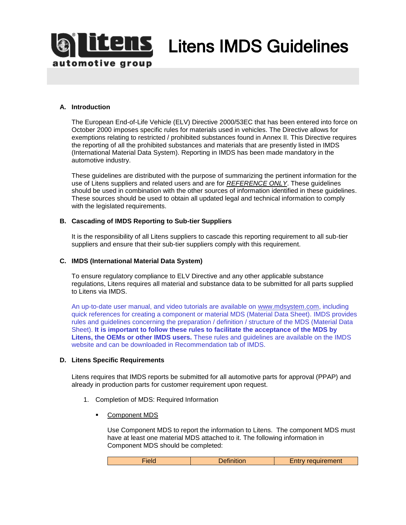

**ILS** Litens IMDS Guidelines

# **A. Introduction**

The European End-of-Life Vehicle (ELV) Directive 2000/53EC that has been entered into force on October 2000 imposes specific rules for materials used in vehicles. The Directive allows for exemptions relating to restricted / prohibited substances found in Annex II. This Directive requires the reporting of all the prohibited substances and materials that are presently listed in IMDS (International Material Data System). Reporting in IMDS has been made mandatory in the automotive industry.

These guidelines are distributed with the purpose of summarizing the pertinent information for the use of Litens suppliers and related users and are for *REFERENCE ONLY*. These guidelines should be used in combination with the other sources of information identified in these guidelines. These sources should be used to obtain all updated legal and technical information to comply with the legislated requirements.

#### **B. Cascading of IMDS Reporting to Sub-tier Suppliers**

It is the responsibility of all Litens suppliers to cascade this reporting requirement to all sub-tier suppliers and ensure that their sub-tier suppliers comply with this requirement.

#### **C. IMDS (International Material Data System)**

To ensure regulatory compliance to ELV Directive and any other applicable substance regulations, Litens requires all material and substance data to be submitted for all parts supplied to Litens via IMDS.

An up-to-date user manual, and video tutorials are available on [www.mdsystem.com,](http://www.mdsystem.com/) including quick references for creating a component or material MDS (Material Data Sheet). IMDS provides rules and guidelines concerning the preparation / definition / structure of the MDS (Material Data Sheet). **It is important to follow these rules to facilitate the acceptance of the MDS by Litens, the OEMs or other IMDS users.** These rules and guidelines are available on the IMDS website and can be downloaded in Recommendation tab of IMDS.

### **D. Litens Specific Requirements**

Litens requires that IMDS reports be submitted for all automotive parts for approval (PPAP) and already in production parts for customer requirement upon request.

- 1. Completion of MDS: Required Information
	- Component MDS

Use Component MDS to report the information to Litens. The component MDS must have at least one material MDS attached to it. The following information in Component MDS should be completed:

| tiela | <b>Definition</b> | Entry requirement |
|-------|-------------------|-------------------|
|       |                   |                   |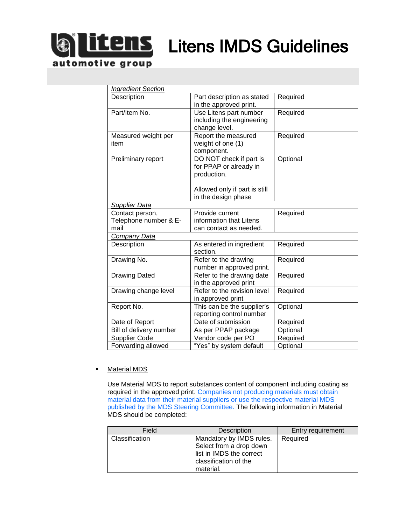

# **LENS** Litens IMDS Guidelines

| <b>Ingredient Section</b> |                               |          |  |
|---------------------------|-------------------------------|----------|--|
| Description               | Part description as stated    | Required |  |
|                           | in the approved print.        |          |  |
| Part/Item No.             | Use Litens part number        | Required |  |
|                           | including the engineering     |          |  |
|                           | change level.                 |          |  |
| Measured weight per       | Report the measured           | Required |  |
| item                      | weight of one (1)             |          |  |
|                           | component.                    |          |  |
| Preliminary report        | DO NOT check if part is       | Optional |  |
|                           | for PPAP or already in        |          |  |
|                           | production.                   |          |  |
|                           |                               |          |  |
|                           | Allowed only if part is still |          |  |
|                           | in the design phase           |          |  |
| <b>Supplier Data</b>      |                               |          |  |
| Contact person,           | Provide current               | Required |  |
| Telephone number & E-     | information that Litens       |          |  |
| mail                      | can contact as needed.        |          |  |
| Company Data              |                               |          |  |
| Description               | As entered in ingredient      | Required |  |
|                           | section.                      |          |  |
| Drawing No.               | Refer to the drawing          | Required |  |
|                           | number in approved print.     |          |  |
| <b>Drawing Dated</b>      | Refer to the drawing date     | Required |  |
|                           | in the approved print         |          |  |
| Drawing change level      | Refer to the revision level   | Required |  |
|                           | in approved print             |          |  |
| Report No.                | This can be the supplier's    | Optional |  |
|                           | reporting control number      |          |  |
| Date of Report            | Date of submission            | Required |  |
| Bill of delivery number   | As per PPAP package           | Optional |  |
| Supplier Code             | Vendor code per PO            | Required |  |
| Forwarding allowed        | "Yes" by system default       | Optional |  |

## **•** Material MDS

Use Material MDS to report substances content of component including coating as required in the approved print. Companies not producing materials must obtain material data from their material suppliers or use the respective material MDS published by the MDS Steering Committee. The following information in Material MDS should be completed:

| Field          | Description                                                                                                           | Entry requirement |
|----------------|-----------------------------------------------------------------------------------------------------------------------|-------------------|
| Classification | Mandatory by IMDS rules.<br>Select from a drop down<br>list in IMDS the correct<br>classification of the<br>material. | Required          |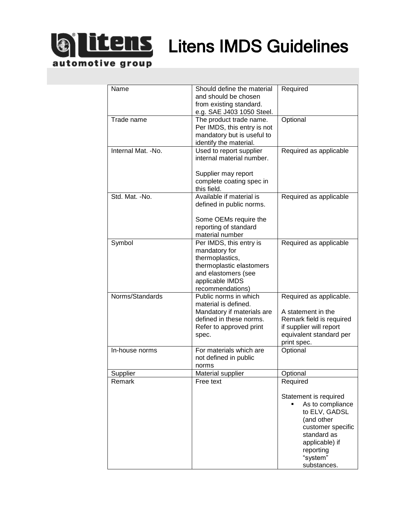

**Litens** Litens IMDS Guidelines

automotive group

| Name                | Should define the material<br>and should be chosen<br>from existing standard.<br>e.g. SAE J403 1050 Steel.                                            | Required                                                                                                                                                               |
|---------------------|-------------------------------------------------------------------------------------------------------------------------------------------------------|------------------------------------------------------------------------------------------------------------------------------------------------------------------------|
| Trade name          | The product trade name.<br>Per IMDS, this entry is not<br>mandatory but is useful to<br>identify the material.                                        | Optional                                                                                                                                                               |
| Internal Mat. - No. | Used to report supplier<br>internal material number.<br>Supplier may report<br>complete coating spec in<br>this field.                                | Required as applicable                                                                                                                                                 |
| Std. Mat. -No.      | Available if material is<br>defined in public norms.<br>Some OEMs require the<br>reporting of standard<br>material number                             | Required as applicable                                                                                                                                                 |
| Symbol              | Per IMDS, this entry is<br>mandatory for<br>thermoplastics,<br>thermoplastic elastomers<br>and elastomers (see<br>applicable IMDS<br>recommendations) | Required as applicable                                                                                                                                                 |
| Norms/Standards     | Public norms in which<br>material is defined.<br>Mandatory if materials are<br>defined in these norms.<br>Refer to approved print<br>spec.            | Required as applicable.<br>A statement in the<br>Remark field is required<br>if supplier will report<br>equivalent standard per<br>print spec.                         |
| In-house norms      | For materials which are<br>not defined in public<br>norms                                                                                             | Optional                                                                                                                                                               |
| Supplier<br>Remark  | Material supplier<br>Free text                                                                                                                        | Optional<br>Required                                                                                                                                                   |
|                     |                                                                                                                                                       | Statement is required<br>As to compliance<br>to ELV, GADSL<br>(and other<br>customer specific<br>standard as<br>applicable) if<br>reporting<br>"system"<br>substances. |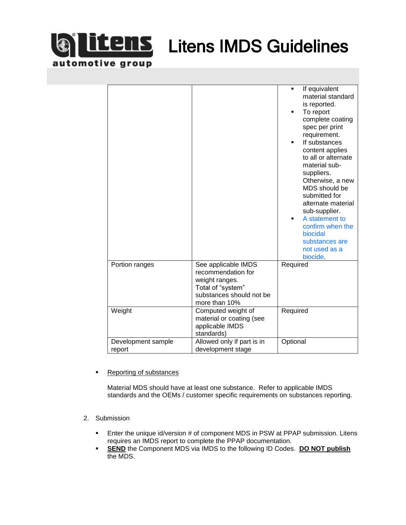

**LEMS** Litens IMDS Guidelines

| Portion ranges               | See applicable IMDS                                                                                    | If equivalent<br>$\blacksquare$<br>material standard<br>is reported.<br>To report<br>complete coating<br>spec per print<br>requirement.<br>If substances<br>content applies<br>to all or alternate<br>material sub-<br>suppliers.<br>Otherwise, a new<br>MDS should be<br>submitted for<br>alternate material<br>sub-supplier.<br>A statement to<br>$\blacksquare$<br>confirm when the<br>biocidal<br>substances are<br>not used as a<br>biocide.<br>Required |
|------------------------------|--------------------------------------------------------------------------------------------------------|---------------------------------------------------------------------------------------------------------------------------------------------------------------------------------------------------------------------------------------------------------------------------------------------------------------------------------------------------------------------------------------------------------------------------------------------------------------|
|                              | recommendation for<br>weight ranges.<br>Total of "system"<br>substances should not be<br>more than 10% |                                                                                                                                                                                                                                                                                                                                                                                                                                                               |
| Weight                       | Computed weight of<br>material or coating (see<br>applicable IMDS<br>standards)                        | Required                                                                                                                                                                                                                                                                                                                                                                                                                                                      |
| Development sample<br>report | Allowed only if part is in<br>development stage                                                        | Optional                                                                                                                                                                                                                                                                                                                                                                                                                                                      |

■ Reporting of substances

Material MDS should have at least one substance. Refer to applicable IMDS standards and the OEMs / customer specific requirements on substances reporting.

- 2. Submission
	- **Enter the unique id/version # of component MDS in PSW at PPAP submission. Litens** requires an IMDS report to complete the PPAP documentation.
	- **END** the Component MDS via IMDS to the following ID Codes. DO NOT publish the MDS.